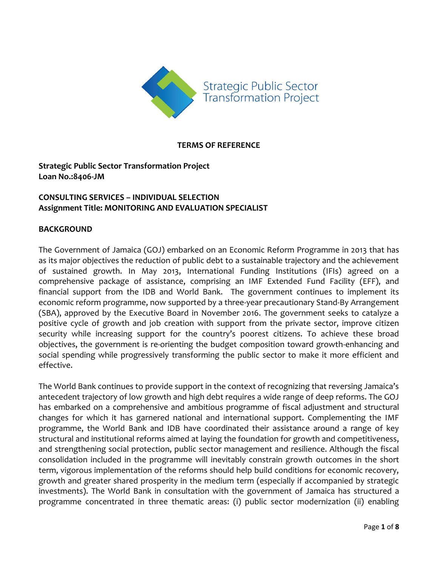

### **TERMS OF REFERENCE**

**Strategic Public Sector Transformation Project Loan No.:8406-JM**

### **CONSULTING SERVICES – INDIVIDUAL SELECTION Assignment Title: MONITORING AND EVALUATION SPECIALIST**

#### **BACKGROUND**

The Government of Jamaica (GOJ) embarked on an Economic Reform Programme in 2013 that has as its major objectives the reduction of public debt to a sustainable trajectory and the achievement of sustained growth. In May 2013, International Funding Institutions (IFIs) agreed on a comprehensive package of assistance, comprising an IMF Extended Fund Facility (EFF), and financial support from the IDB and World Bank. The government continues to implement its economic reform programme, now supported by a three-year precautionary Stand-By Arrangement (SBA), approved by the Executive Board in November 2016. The government seeks to catalyze a positive cycle of growth and job creation with support from the private sector, improve citizen security while increasing support for the country's poorest citizens. To achieve these broad objectives, the government is re-orienting the budget composition toward growth-enhancing and social spending while progressively transforming the public sector to make it more efficient and effective.

The World Bank continues to provide support in the context of recognizing that reversing Jamaica's antecedent trajectory of low growth and high debt requires a wide range of deep reforms. The GOJ has embarked on a comprehensive and ambitious programme of fiscal adjustment and structural changes for which it has garnered national and international support. Complementing the IMF programme, the World Bank and IDB have coordinated their assistance around a range of key structural and institutional reforms aimed at laying the foundation for growth and competitiveness, and strengthening social protection, public sector management and resilience. Although the fiscal consolidation included in the programme will inevitably constrain growth outcomes in the short term, vigorous implementation of the reforms should help build conditions for economic recovery, growth and greater shared prosperity in the medium term (especially if accompanied by strategic investments). The World Bank in consultation with the government of Jamaica has structured a programme concentrated in three thematic areas: (i) public sector modernization (ii) enabling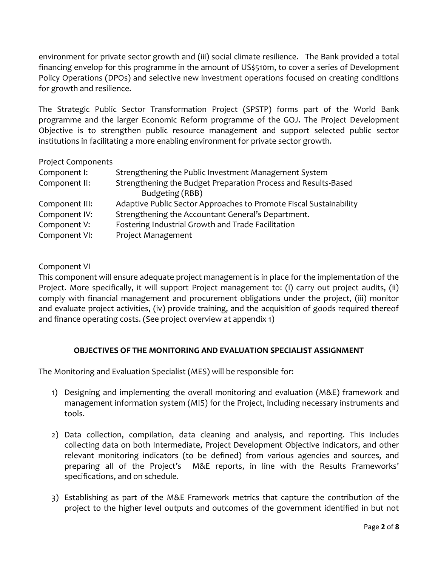environment for private sector growth and (iii) social climate resilience. The Bank provided a total financing envelop for this programme in the amount of US\$510m, to cover a series of Development Policy Operations (DPOs) and selective new investment operations focused on creating conditions for growth and resilience.

The Strategic Public Sector Transformation Project (SPSTP) forms part of the World Bank programme and the larger Economic Reform programme of the GOJ. The Project Development Objective is to strengthen public resource management and support selected public sector institutions in facilitating a more enabling environment for private sector growth.

| <b>Project Components</b> |                                                                    |
|---------------------------|--------------------------------------------------------------------|
| Component I:              | Strengthening the Public Investment Management System              |
| Component II:             | Strengthening the Budget Preparation Process and Results-Based     |
|                           | Budgeting (RBB)                                                    |
| Component III:            | Adaptive Public Sector Approaches to Promote Fiscal Sustainability |
| Component IV:             | Strengthening the Accountant General's Department.                 |
| Component V:              | Fostering Industrial Growth and Trade Facilitation                 |
| Component VI:             | Project Management                                                 |

Component VI

This component will ensure adequate project management is in place for the implementation of the Project. More specifically, it will support Project management to: (i) carry out project audits, (ii) comply with financial management and procurement obligations under the project, (iii) monitor and evaluate project activities, (iv) provide training, and the acquisition of goods required thereof and finance operating costs. (See project overview at appendix 1)

## **OBJECTIVES OF THE MONITORING AND EVALUATION SPECIALIST ASSIGNMENT**

The Monitoring and Evaluation Specialist (MES) will be responsible for:

- 1) Designing and implementing the overall monitoring and evaluation (M&E) framework and management information system (MIS) for the Project, including necessary instruments and tools.
- 2) Data collection, compilation, data cleaning and analysis, and reporting. This includes collecting data on both Intermediate, Project Development Objective indicators, and other relevant monitoring indicators (to be defined) from various agencies and sources, and preparing all of the Project's M&E reports, in line with the Results Frameworks' specifications, and on schedule.
- 3) Establishing as part of the M&E Framework metrics that capture the contribution of the project to the higher level outputs and outcomes of the government identified in but not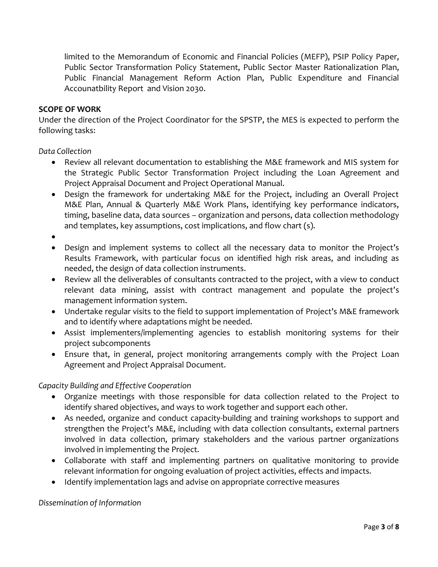limited to the Memorandum of Economic and Financial Policies (MEFP), PSIP Policy Paper, Public Sector Transformation Policy Statement, Public Sector Master Rationalization Plan, Public Financial Management Reform Action Plan, Public Expenditure and Financial Accounatbility Report and Vision 2030.

#### **SCOPE OF WORK**

Under the direction of the Project Coordinator for the SPSTP, the MES is expected to perform the following tasks:

*Data Collection*

- Review all relevant documentation to establishing the M&E framework and MIS system for the Strategic Public Sector Transformation Project including the Loan Agreement and Project Appraisal Document and Project Operational Manual.
- Design the framework for undertaking M&E for the Project, including an Overall Project M&E Plan, Annual & Quarterly M&E Work Plans, identifying key performance indicators, timing, baseline data, data sources – organization and persons, data collection methodology and templates, key assumptions, cost implications, and flow chart (s).
- $\bullet$
- Design and implement systems to collect all the necessary data to monitor the Project's Results Framework, with particular focus on identified high risk areas, and including as needed, the design of data collection instruments.
- Review all the deliverables of consultants contracted to the project, with a view to conduct relevant data mining, assist with contract management and populate the project's management information system.
- Undertake regular visits to the field to support implementation of Project's M&E framework and to identify where adaptations might be needed.
- Assist implementers/implementing agencies to establish monitoring systems for their project subcomponents
- Ensure that, in general, project monitoring arrangements comply with the Project Loan Agreement and Project Appraisal Document.

## *Capacity Building and Effective Cooperation*

- Organize meetings with those responsible for data collection related to the Project to identify shared objectives, and ways to work together and support each other.
- As needed, organize and conduct capacity-building and training workshops to support and strengthen the Project's M&E, including with data collection consultants, external partners involved in data collection, primary stakeholders and the various partner organizations involved in implementing the Project.
- Collaborate with staff and implementing partners on qualitative monitoring to provide relevant information for ongoing evaluation of project activities, effects and impacts.
- Identify implementation lags and advise on appropriate corrective measures

*Dissemination of Information*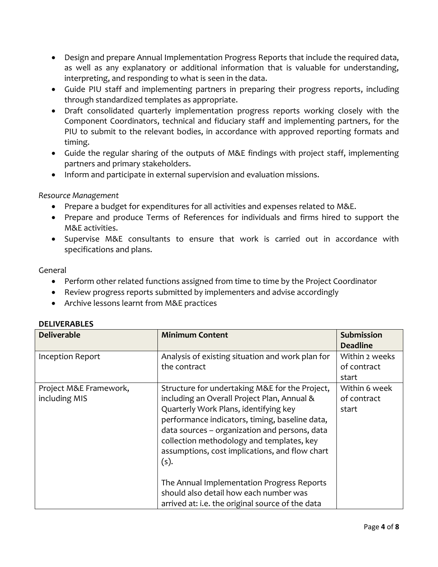- Design and prepare Annual Implementation Progress Reports that include the required data, as well as any explanatory or additional information that is valuable for understanding, interpreting, and responding to what is seen in the data.
- Guide PIU staff and implementing partners in preparing their progress reports, including through standardized templates as appropriate.
- Draft consolidated quarterly implementation progress reports working closely with the Component Coordinators, technical and fiduciary staff and implementing partners, for the PIU to submit to the relevant bodies, in accordance with approved reporting formats and timing.
- Guide the regular sharing of the outputs of M&E findings with project staff, implementing partners and primary stakeholders.
- Inform and participate in external supervision and evaluation missions.

### *Resource Management*

- Prepare a budget for expenditures for all activities and expenses related to M&E.
- Prepare and produce Terms of References for individuals and firms hired to support the M&E activities.
- Supervise M&E consultants to ensure that work is carried out in accordance with specifications and plans.

### General

- Perform other related functions assigned from time to time by the Project Coordinator
- Review progress reports submitted by implementers and advise accordingly
- Archive lessons learnt from M&E practices

| <b>Deliverable</b>                      | <b>Minimum Content</b>                                                                                                                                                                                                                                                                                                                           | Submission<br><b>Deadline</b>          |
|-----------------------------------------|--------------------------------------------------------------------------------------------------------------------------------------------------------------------------------------------------------------------------------------------------------------------------------------------------------------------------------------------------|----------------------------------------|
| Inception Report                        | Analysis of existing situation and work plan for<br>the contract                                                                                                                                                                                                                                                                                 | Within 2 weeks<br>of contract<br>start |
| Project M&E Framework,<br>including MIS | Structure for undertaking M&E for the Project,<br>including an Overall Project Plan, Annual &<br>Quarterly Work Plans, identifying key<br>performance indicators, timing, baseline data,<br>data sources - organization and persons, data<br>collection methodology and templates, key<br>assumptions, cost implications, and flow chart<br>(s). | Within 6 week<br>of contract<br>start  |
|                                         | The Annual Implementation Progress Reports<br>should also detail how each number was<br>arrived at: i.e. the original source of the data                                                                                                                                                                                                         |                                        |

### **DELIVERABLES**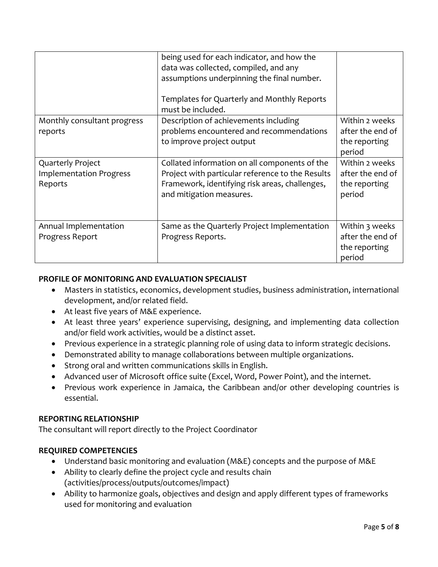|                                                                | being used for each indicator, and how the<br>data was collected, compiled, and any<br>assumptions underpinning the final number.<br>Templates for Quarterly and Monthly Reports<br>must be included. |                                                               |
|----------------------------------------------------------------|-------------------------------------------------------------------------------------------------------------------------------------------------------------------------------------------------------|---------------------------------------------------------------|
| Monthly consultant progress<br>reports                         | Description of achievements including<br>problems encountered and recommendations<br>to improve project output                                                                                        | Within 2 weeks<br>after the end of<br>the reporting<br>period |
| Quarterly Project<br><b>Implementation Progress</b><br>Reports | Collated information on all components of the<br>Project with particular reference to the Results<br>Framework, identifying risk areas, challenges,<br>and mitigation measures.                       | Within 2 weeks<br>after the end of<br>the reporting<br>period |
| Annual Implementation<br>Progress Report                       | Same as the Quarterly Project Implementation<br>Progress Reports.                                                                                                                                     | Within 3 weeks<br>after the end of<br>the reporting<br>period |

# **PROFILE OF MONITORING AND EVALUATION SPECIALIST**

- Masters in statistics, economics, development studies, business administration, international development, and/or related field.
- At least five years of M&E experience.
- At least three years' experience supervising, designing, and implementing data collection and/or field work activities, would be a distinct asset.
- Previous experience in a strategic planning role of using data to inform strategic decisions.
- Demonstrated ability to manage collaborations between multiple organizations.
- Strong oral and written communications skills in English.
- Advanced user of Microsoft office suite (Excel, Word, Power Point), and the internet.
- Previous work experience in Jamaica, the Caribbean and/or other developing countries is essential.

## **REPORTING RELATIONSHIP**

The consultant will report directly to the Project Coordinator

## **REQUIRED COMPETENCIES**

- Understand basic monitoring and evaluation (M&E) concepts and the purpose of M&E
- Ability to clearly define the project cycle and results chain (activities/process/outputs/outcomes/impact)
- Ability to harmonize goals, objectives and design and apply different types of frameworks used for monitoring and evaluation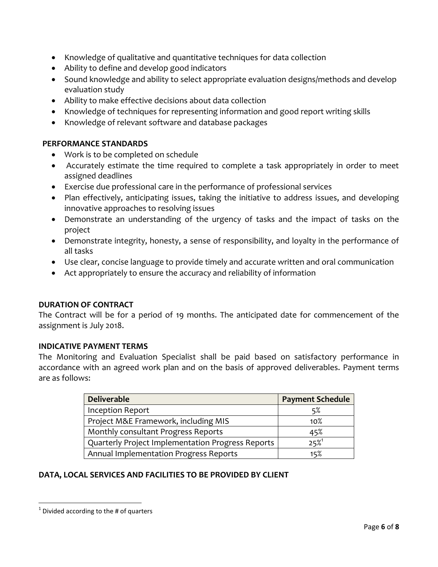- Knowledge of qualitative and quantitative techniques for data collection
- Ability to define and develop good indicators
- Sound knowledge and ability to select appropriate evaluation designs/methods and develop evaluation study
- Ability to make effective decisions about data collection
- Knowledge of techniques for representing information and good report writing skills
- Knowledge of relevant software and database packages

### **PERFORMANCE STANDARDS**

- Work is to be completed on schedule
- Accurately estimate the time required to complete a task appropriately in order to meet assigned deadlines
- Exercise due professional care in the performance of professional services
- Plan effectively, anticipating issues, taking the initiative to address issues, and developing innovative approaches to resolving issues
- Demonstrate an understanding of the urgency of tasks and the impact of tasks on the project
- Demonstrate integrity, honesty, a sense of responsibility, and loyalty in the performance of all tasks
- Use clear, concise language to provide timely and accurate written and oral communication
- Act appropriately to ensure the accuracy and reliability of information

## **DURATION OF CONTRACT**

The Contract will be for a period of 19 months. The anticipated date for commencement of the assignment is July 2018.

### **INDICATIVE PAYMENT TERMS**

The Monitoring and Evaluation Specialist shall be paid based on satisfactory performance in accordance with an agreed work plan and on the basis of approved deliverables. Payment terms are as follows:

| <b>Deliverable</b>                                | <b>Payment Schedule</b> |
|---------------------------------------------------|-------------------------|
| <b>Inception Report</b>                           | 5%                      |
| Project M&E Framework, including MIS              | $10\%$                  |
| Monthly consultant Progress Reports               | 45%                     |
| Quarterly Project Implementation Progress Reports | $25%^{1}$               |
| Annual Implementation Progress Reports            | 15%                     |

## **DATA, LOCAL SERVICES AND FACILITIES TO BE PROVIDED BY CLIENT**

 $\overline{\phantom{a}}$  $<sup>1</sup>$  Divided according to the # of quarters</sup>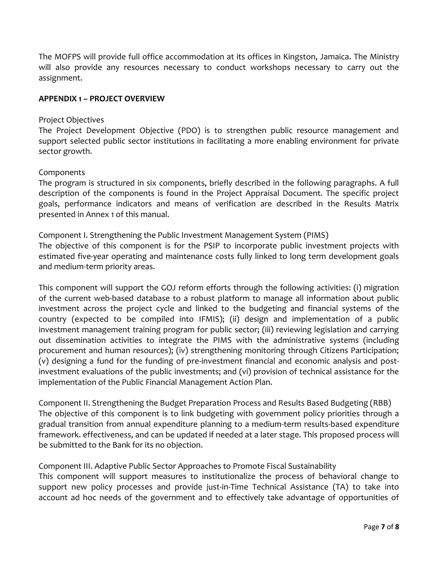The MOFPS will provide full office accommodation at its offices in Kingston, Jamaica. The Ministry will also provide any resources necessary to conduct workshops necessary to carry out the assignment.

### **APPENDIX 1 – PROJECT OVERVIEW**

### Project Objectives

The Project Development Objective (PDO) is to strengthen public resource management and support selected public sector institutions in facilitating a more enabling environment for private sector growth.

### Components

The program is structured in six components, briefly described in the following paragraphs. A full description of the components is found in the Project Appraisal Document. The specific project goals, performance indicators and means of verification are described in the Results Matrix presented in Annex 1 of this manual.

Component I. Strengthening the Public Investment Management System (PIMS) The objective of this component is for the PSIP to incorporate public investment projects with estimated five-year operating and maintenance costs fully linked to long term development goals and medium-term priority areas.

This component will support the GOJ reform efforts through the following activities: (i) migration of the current web-based database to a robust platform to manage all information about public investment across the project cycle and linked to the budgeting and financial systems of the country (expected to be compiled into IFMIS); (ii) design and implementation of a public investment management training program for public sector; (iii) reviewing legislation and carrying out dissemination activities to integrate the PIMS with the administrative systems (including procurement and human resources); (iv) strengthening monitoring through Citizens Participation; (v) designing a fund for the funding of pre-investment financial and economic analysis and postinvestment evaluations of the public investments; and (vi) provision of technical assistance for the implementation of the Public Financial Management Action Plan.

Component II. Strengthening the Budget Preparation Process and Results Based Budgeting (RBB) The objective of this component is to link budgeting with government policy priorities through a gradual transition from annual expenditure planning to a medium-term results-based expenditure framework. effectiveness, and can be updated if needed at a later stage. This proposed process will be submitted to the Bank for its no objection.

Component III. Adaptive Public Sector Approaches to Promote Fiscal Sustainability This component will support measures to institutionalize the process of behavioral change to support new policy processes and provide just-in-Time Technical Assistance (TA) to take into account ad hoc needs of the government and to effectively take advantage of opportunities of